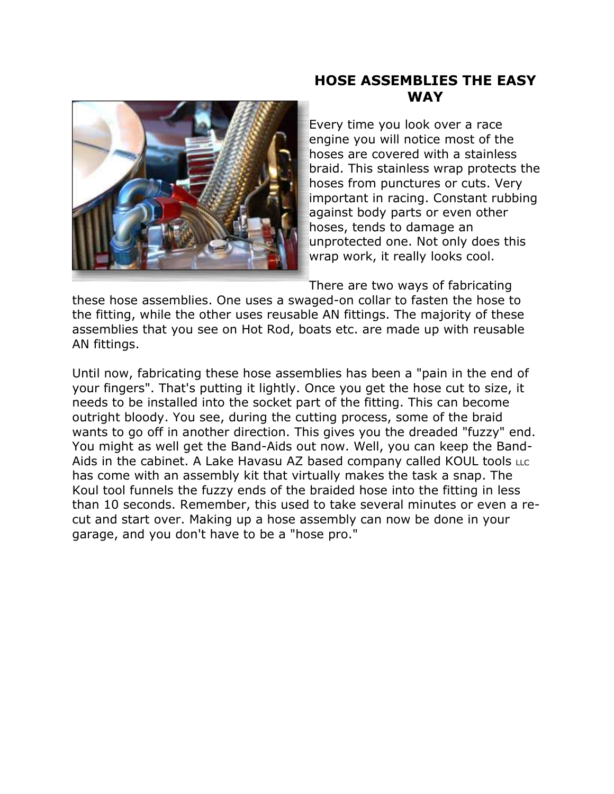

# **HOSE ASSEMBLIES THE EASY WAY**

Every time you look over a race engine you will notice most of the hoses are covered with a stainless braid. This stainless wrap protects the hoses from punctures or cuts. Very important in racing. Constant rubbing against body parts or even other hoses, tends to damage an unprotected one. Not only does this wrap work, it really looks cool.

There are two ways of fabricating

these hose assemblies. One uses a swaged-on collar to fasten the hose to the fitting, while the other uses reusable AN fittings. The majority of these assemblies that you see on Hot Rod, boats etc. are made up with reusable AN fittings.

Until now, fabricating these hose assemblies has been a "pain in the end of your fingers". That's putting it lightly. Once you get the hose cut to size, it needs to be installed into the socket part of the fitting. This can become outright bloody. You see, during the cutting process, some of the braid wants to go off in another direction. This gives you the dreaded "fuzzy" end. You might as well get the Band-Aids out now. Well, you can keep the Band-Aids in the cabinet. A Lake Havasu AZ based company called KOUL tools LLC has come with an assembly kit that virtually makes the task a snap. The Koul tool funnels the fuzzy ends of the braided hose into the fitting in less than 10 seconds. Remember, this used to take several minutes or even a recut and start over. Making up a hose assembly can now be done in your garage, and you don't have to be a "hose pro."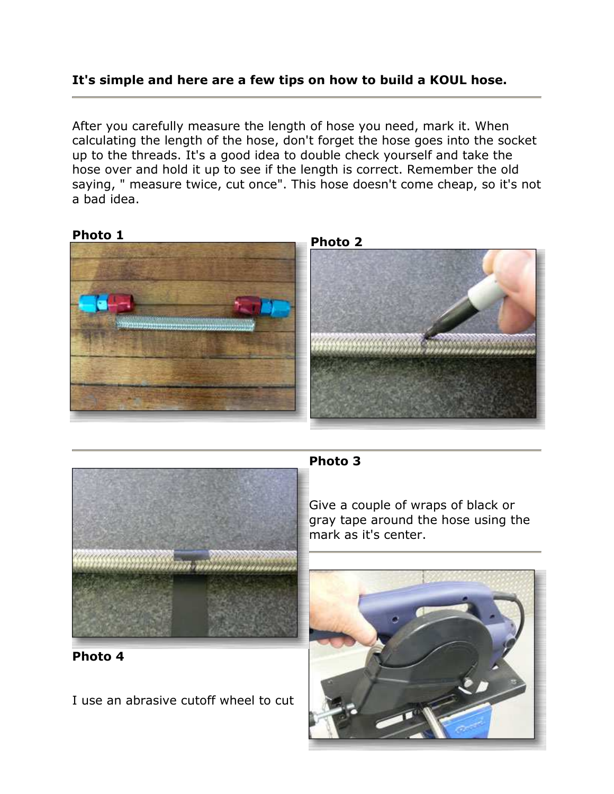## **It's simple and here are a few tips on how to build a KOUL hose.**

After you carefully measure the length of hose you need, mark it. When calculating the length of the hose, don't forget the hose goes into the socket up to the threads. It's a good idea to double check yourself and take the hose over and hold it up to see if the length is correct. Remember the old saying, " measure twice, cut once". This hose doesn't come cheap, so it's not a bad idea.





### **Photo 3**

Give a couple of wraps of black or gray tape around the hose using the mark as it's center.



**Photo 4** 

I use an abrasive cutoff wheel to cut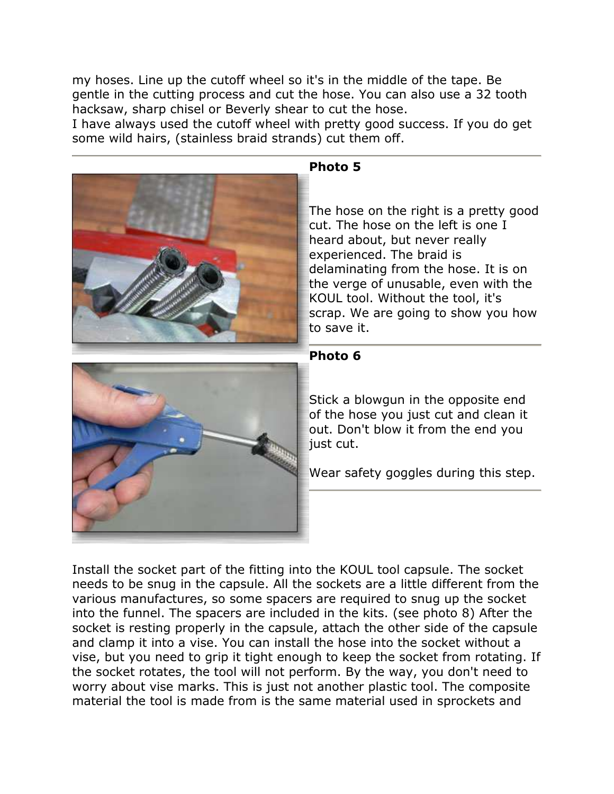my hoses. Line up the cutoff wheel so it's in the middle of the tape. Be gentle in the cutting process and cut the hose. You can also use a 32 tooth hacksaw, sharp chisel or Beverly shear to cut the hose.

I have always used the cutoff wheel with pretty good success. If you do get some wild hairs, (stainless braid strands) cut them off.



## **Photo 5**

The hose on the right is a pretty good cut. The hose on the left is one I heard about, but never really experienced. The braid is delaminating from the hose. It is on the verge of unusable, even with the KOUL tool. Without the tool, it's scrap. We are going to show you how to save it.



## **Photo 6**

Stick a blowgun in the opposite end of the hose you just cut and clean it out. Don't blow it from the end you just cut.

Wear safety goggles during this step.

Install the socket part of the fitting into the KOUL tool capsule. The socket needs to be snug in the capsule. All the sockets are a little different from the various manufactures, so some spacers are required to snug up the socket into the funnel. The spacers are included in the kits. (see photo 8) After the socket is resting properly in the capsule, attach the other side of the capsule and clamp it into a vise. You can install the hose into the socket without a vise, but you need to grip it tight enough to keep the socket from rotating. If the socket rotates, the tool will not perform. By the way, you don't need to worry about vise marks. This is just not another plastic tool. The composite material the tool is made from is the same material used in sprockets and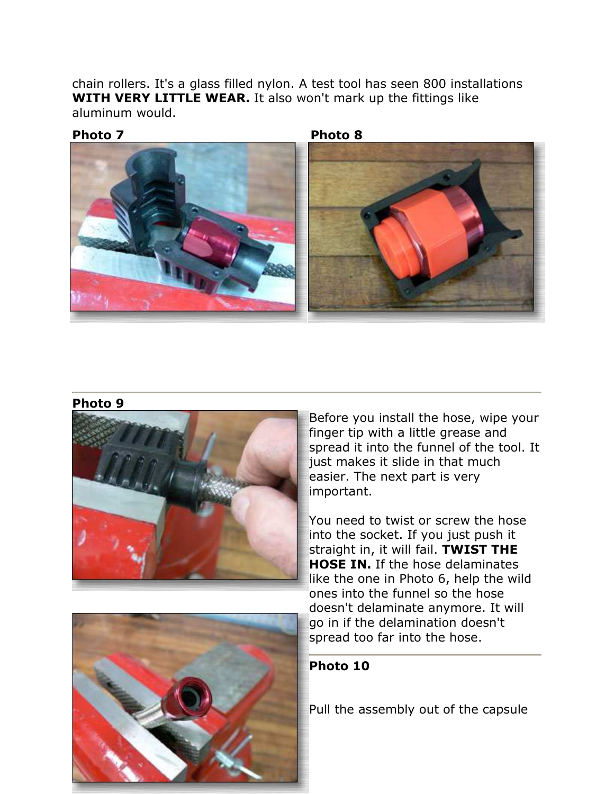chain rollers. It's a glass filled nylon. A test tool has seen 800 installations **WITH VERY LITTLE WEAR.** It also won't mark up the fittings like aluminum would.





#### **Photo 9**



Before you install the hose, wipe your finger tip with a little grease and spread it into the funnel of the tool. It just makes it slide in that much easier. The next part is very important.

You need to twist or screw the hose into the socket. If you just push it straight in, it will fail. **TWIST THE HOSE IN.** If the hose delaminates like the one in Photo 6, help the wild ones into the funnel so the hose doesn't delaminate anymore. It will go in if the delamination doesn't spread too far into the hose.





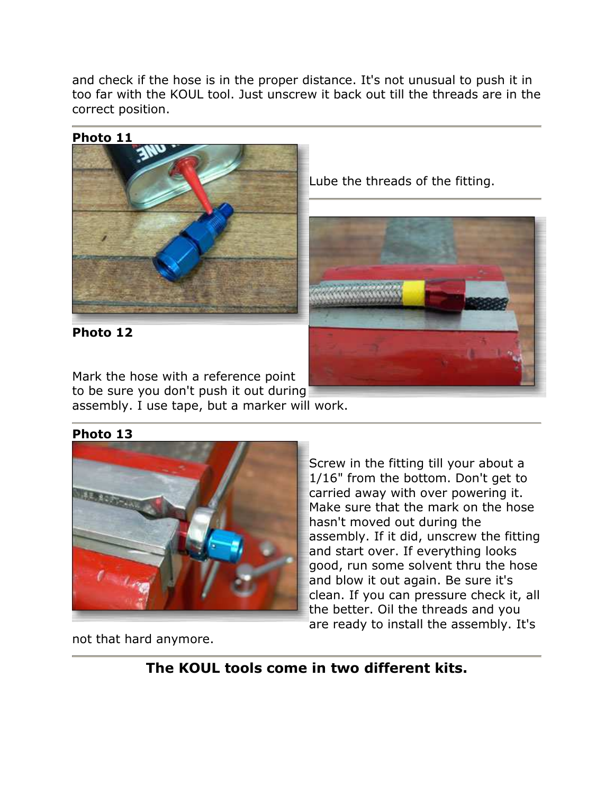and check if the hose is in the proper distance. It's not unusual to push it in too far with the KOUL tool. Just unscrew it back out till the threads are in the correct position.



**Photo 11** 

Mark the hose with a reference point to be sure you don't push it out during assembly. I use tape, but a marker will work.

**Photo 13**



Screw in the fitting till your about a 1/16" from the bottom. Don't get to carried away with over powering it. Make sure that the mark on the hose hasn't moved out during the assembly. If it did, unscrew the fitting and start over. If everything looks good, run some solvent thru the hose and blow it out again. Be sure it's clean. If you can pressure check it, all the better. Oil the threads and you are ready to install the assembly. It's

not that hard anymore.

**The KOUL tools come in two different kits.**